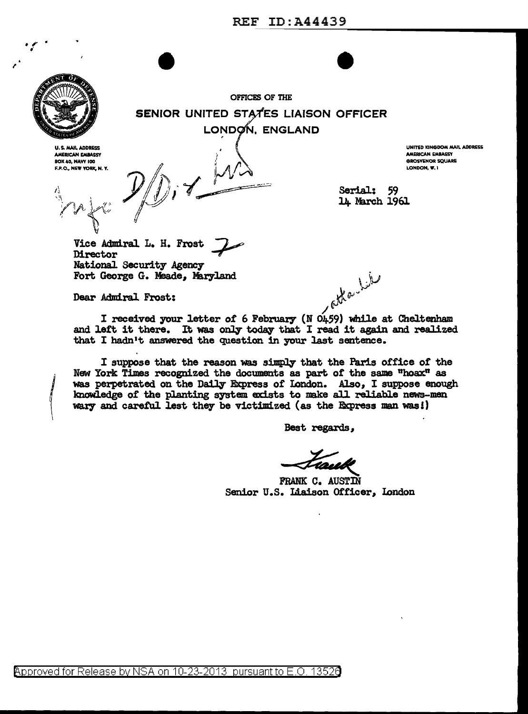

*{* 

. ,  $\mathcal{L}$  .

 $\begin{array}{c}\n\text{OPTCCES} \\
\text{OPTCCES} \\
\text{OPTCCES}\n\end{array}$ OFFICES OF THE SENIOR UNITED STATES LIAISON OFFICER LONDON, ENGLAND

U.S. MAIL ADDRESS AMERICAN EMBASSY BOX 40, NAVY 100 F.P.O. NEW YORK, N. Y.

 $\cdot$ ...  $\cdot$ 

 $\mathbb{C}$   $\mathbb{C}$ 

1\1

 $\frac{1}{14}$   $\frac{1}{14}$  Serial: 59 Y.!IA '.l,.'f'' "',,~\, *V/* 

UNITED KINGDOM MAIL ADDRESS AMERICAN EMBASSY **GROSVENOR SOUARE** LONDON, W.I.

14 March 1961

\):J

~~~

Vice Admiral L. H. Frost 7 National Security Agency Fort George G. Meade, Maryland

Dear Admiral Frost:

 $\prime$   $\sim$ I received your letter of 6 February ( $\overline{N}$  0459) while at Cheltenham and left it there. It was only today that I read it again and realized that I hadn't answered the question in your last sentence.

I suppose that the reason was simply that the Paris office of the New York Times recognized the documents as part of the same "hoax" as was perpetrated on the Daily Express of London. Also, I suppose enough knowledge of the planting system exists to make all reliable news-men wary and careful. 1est they be victimized (as the Express man was!)

Best regards,

FRANK C. AUSTIN Best regards, Senior U.S. Liaison Officer, London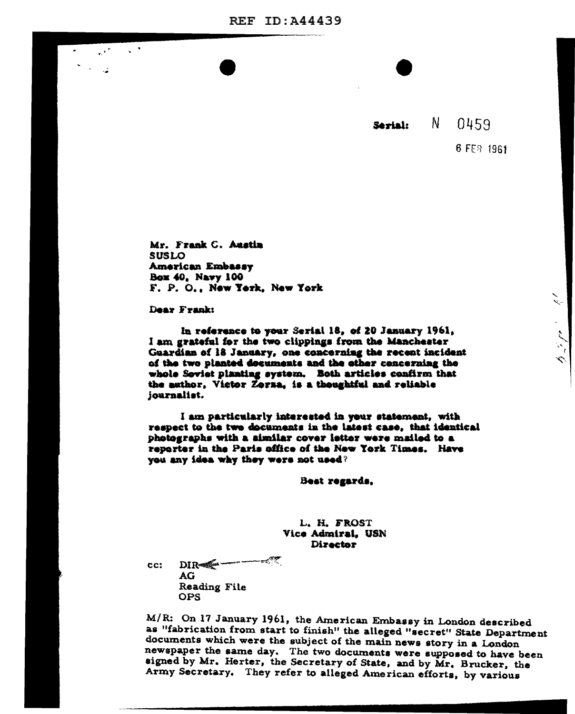**REF ID: A44439** 

N. 0459 Sérial:

6 FEB 1961

Mr. Frank C. Austin **SUSLO** American Embassy Box 40, Navy 100 F. P. O., New Yerk, New York

Dear Frank:

In reference to your Serial 18, of 20 January 1961, I am grateful for the two clippings from the Manchester Guardian of 18 January, one concerning the recent incident of the two planted documents and the other concerning the whole Seviet planting system. Both articles confirm that the author, Victor Zorza, is a thoughtful and reliable journalist.

I am particularly interested in your statement, with respect to the two documents in the latest case, that identical photographs with a similar cover letter were mailed to a reporter in the Paris office of the New York Times. Have you any idea why they were not used?

Best regards,

L. H. FROST Vice Admiral, USN **Director** 

 $\mathbb{R}$   $\mathbb{R}$ DIR-CC: AG Reading File **OPS** 

M/R: On 17 January 1961, the American Embassy in London described as "fabrication from start to finish" the alleged "secret" State Department documents which were the subject of the main news story in a London newspaper the same day. The two documents were supposed to have been signed by Mr. Herter, the Secretary of State, and by Mr. Brucker, the Army Secretary. They refer to alleged American efforts, by various